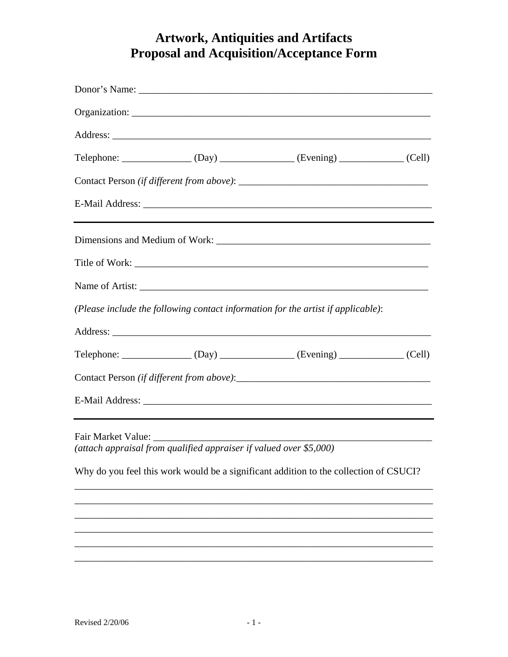## **Artwork, Antiquities and Artifacts<br>Proposal and Acquisition/Acceptance Form**

|                    |                                                                    | $\text{Telephone:}\n \underline{\hspace{2cm}}\n \underline{\hspace{2cm}}\n \underline{\hspace{2cm}}\n \underline{\hspace{2cm}}\n \underline{\hspace{2cm}}\n \underline{\hspace{2cm}}\n \underline{\hspace{2cm}}\n \underline{\hspace{2cm}}\n \underline{\hspace{2cm}}\n \underline{\hspace{2cm}}\n \underline{\hspace{2cm}}\n \underline{\hspace{2cm}}\n \underline{\hspace{2cm}}\n \underline{\hspace{2cm}}\n \underline{\hspace{2cm}}\n \underline{\hspace{2cm}}\n \underline{\hspace{2cm}}\n \underline{\hspace{2cm}}\n \underline{\hspace{2cm}}\n \underline{\$ |  |
|--------------------|--------------------------------------------------------------------|---------------------------------------------------------------------------------------------------------------------------------------------------------------------------------------------------------------------------------------------------------------------------------------------------------------------------------------------------------------------------------------------------------------------------------------------------------------------------------------------------------------------------------------------------------------------|--|
|                    |                                                                    |                                                                                                                                                                                                                                                                                                                                                                                                                                                                                                                                                                     |  |
|                    |                                                                    |                                                                                                                                                                                                                                                                                                                                                                                                                                                                                                                                                                     |  |
|                    |                                                                    |                                                                                                                                                                                                                                                                                                                                                                                                                                                                                                                                                                     |  |
|                    |                                                                    |                                                                                                                                                                                                                                                                                                                                                                                                                                                                                                                                                                     |  |
|                    |                                                                    |                                                                                                                                                                                                                                                                                                                                                                                                                                                                                                                                                                     |  |
|                    |                                                                    | (Please include the following contact information for the artist if applicable):                                                                                                                                                                                                                                                                                                                                                                                                                                                                                    |  |
|                    |                                                                    |                                                                                                                                                                                                                                                                                                                                                                                                                                                                                                                                                                     |  |
|                    |                                                                    | Telephone: (Day) (Day) (Evening) (Evening (Cell)                                                                                                                                                                                                                                                                                                                                                                                                                                                                                                                    |  |
|                    |                                                                    |                                                                                                                                                                                                                                                                                                                                                                                                                                                                                                                                                                     |  |
|                    |                                                                    |                                                                                                                                                                                                                                                                                                                                                                                                                                                                                                                                                                     |  |
| Fair Market Value: | (attach appraisal from qualified appraiser if valued over \$5,000) |                                                                                                                                                                                                                                                                                                                                                                                                                                                                                                                                                                     |  |
|                    |                                                                    | Why do you feel this work would be a significant addition to the collection of CSUCI?                                                                                                                                                                                                                                                                                                                                                                                                                                                                               |  |
|                    |                                                                    |                                                                                                                                                                                                                                                                                                                                                                                                                                                                                                                                                                     |  |
|                    |                                                                    |                                                                                                                                                                                                                                                                                                                                                                                                                                                                                                                                                                     |  |
|                    |                                                                    |                                                                                                                                                                                                                                                                                                                                                                                                                                                                                                                                                                     |  |
|                    |                                                                    |                                                                                                                                                                                                                                                                                                                                                                                                                                                                                                                                                                     |  |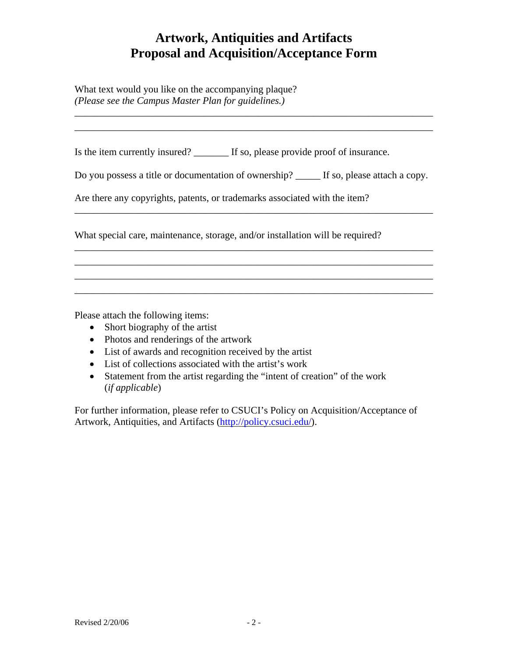## **Artwork, Antiquities and Artifacts Proposal and Acquisition/Acceptance Form**

\_\_\_\_\_\_\_\_\_\_\_\_\_\_\_\_\_\_\_\_\_\_\_\_\_\_\_\_\_\_\_\_\_\_\_\_\_\_\_\_\_\_\_\_\_\_\_\_\_\_\_\_\_\_\_\_\_\_\_\_\_\_\_\_\_\_\_\_\_\_\_\_ \_\_\_\_\_\_\_\_\_\_\_\_\_\_\_\_\_\_\_\_\_\_\_\_\_\_\_\_\_\_\_\_\_\_\_\_\_\_\_\_\_\_\_\_\_\_\_\_\_\_\_\_\_\_\_\_\_\_\_\_\_\_\_\_\_\_\_\_\_\_\_\_

What text would you like on the accompanying plaque? *(Please see the Campus Master Plan for guidelines.)* 

Is the item currently insured? \_\_\_\_\_\_\_ If so, please provide proof of insurance.

Do you possess a title or documentation of ownership? \_\_\_\_\_ If so, please attach a copy.

\_\_\_\_\_\_\_\_\_\_\_\_\_\_\_\_\_\_\_\_\_\_\_\_\_\_\_\_\_\_\_\_\_\_\_\_\_\_\_\_\_\_\_\_\_\_\_\_\_\_\_\_\_\_\_\_\_\_\_\_\_\_\_\_\_\_\_\_\_\_\_\_

\_\_\_\_\_\_\_\_\_\_\_\_\_\_\_\_\_\_\_\_\_\_\_\_\_\_\_\_\_\_\_\_\_\_\_\_\_\_\_\_\_\_\_\_\_\_\_\_\_\_\_\_\_\_\_\_\_\_\_\_\_\_\_\_\_\_\_\_\_\_\_\_ \_\_\_\_\_\_\_\_\_\_\_\_\_\_\_\_\_\_\_\_\_\_\_\_\_\_\_\_\_\_\_\_\_\_\_\_\_\_\_\_\_\_\_\_\_\_\_\_\_\_\_\_\_\_\_\_\_\_\_\_\_\_\_\_\_\_\_\_\_\_\_\_ \_\_\_\_\_\_\_\_\_\_\_\_\_\_\_\_\_\_\_\_\_\_\_\_\_\_\_\_\_\_\_\_\_\_\_\_\_\_\_\_\_\_\_\_\_\_\_\_\_\_\_\_\_\_\_\_\_\_\_\_\_\_\_\_\_\_\_\_\_\_\_\_ \_\_\_\_\_\_\_\_\_\_\_\_\_\_\_\_\_\_\_\_\_\_\_\_\_\_\_\_\_\_\_\_\_\_\_\_\_\_\_\_\_\_\_\_\_\_\_\_\_\_\_\_\_\_\_\_\_\_\_\_\_\_\_\_\_\_\_\_\_\_\_\_

Are there any copyrights, patents, or trademarks associated with the item?

What special care, maintenance, storage, and/or installation will be required?

Please attach the following items:

- Short biography of the artist
- Photos and renderings of the artwork
- List of awards and recognition received by the artist
- List of collections associated with the artist's work
- Statement from the artist regarding the "intent of creation" of the work (*if applicable*)

For further information, please refer to CSUCI's Policy on Acquisition/Acceptance of Artwork, Antiquities, and Artifacts [\(http://policy.csuci.edu/](http://policy.csuci.edu/)).